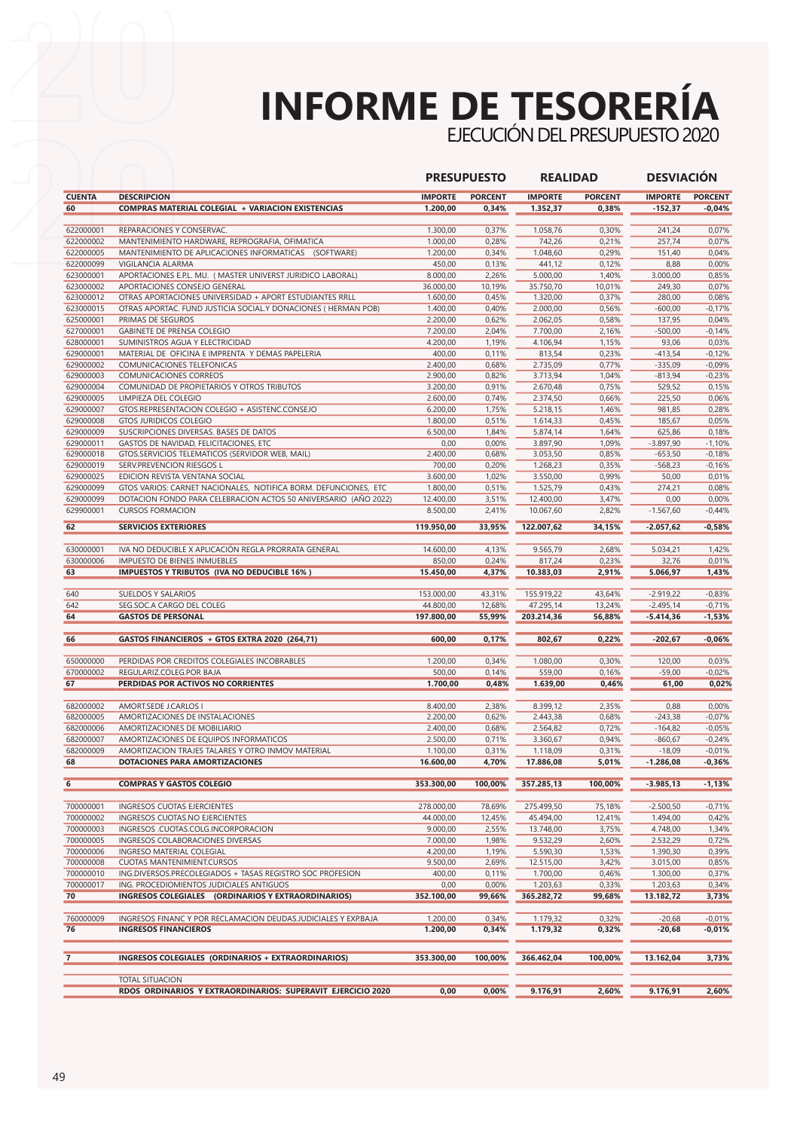## **INFORME DE TESORERÍA**

EJECUCIÓN DEL PRESUPUESTO 2020

|                        |                                                                                                                                    | <b>PRESUPUESTO</b>    |                | <b>REALIDAD</b>       |                | <b>DESVIACIÓN</b>      |                      |
|------------------------|------------------------------------------------------------------------------------------------------------------------------------|-----------------------|----------------|-----------------------|----------------|------------------------|----------------------|
| <b>CUENTA</b>          | <b>DESCRIPCION</b>                                                                                                                 | <b>IMPORTE</b>        | <b>PORCENT</b> | <b>IMPORTE</b>        | <b>PORCENT</b> | <b>IMPORTE</b>         | <b>PORCENT</b>       |
| 60                     | <b>COMPRAS MATERIAL COLEGIAL + VARIACION EXISTENCIAS</b>                                                                           | 1.200,00              | 0,34%          | 1.352,37              | 0,38%          | $-152,37$              | $-0,04%$             |
|                        |                                                                                                                                    |                       |                |                       |                |                        |                      |
| 622000001<br>622000002 | REPARACIONES Y CONSERVAC.<br>MANTENIMIENTO HARDWARE, REPROGRAFIA, OFIMATICA                                                        | 1.300,00<br>1.000,00  | 0,37%<br>0,28% | 1.058,76<br>742,26    | 0,30%<br>0,21% | 241,24<br>257,74       | 0,07%<br>0,07%       |
| 622000005              | MANTENIMIENTO DE APLICACIONES INFORMATICAS (SOFTWARE)                                                                              | 1.200,00              | 0,34%          | 1.048,60              | 0,29%          | 151,40                 | 0,04%                |
| 622000099              | VIGILANCIA ALARMA                                                                                                                  | 450,00                | 0,13%          | 441,12                | 0,12%          | 8,88                   | 0,00%                |
| 623000001              | APORTACIONES E.P.L. MU. ( MASTER UNIVERST JURIDICO LABORAL)                                                                        | 8.000,00              | 2,26%          | 5.000,00              | 1,40%          | 3.000,00               | 0,85%                |
| 623000002              | APORTACIONES CONSEJO GENERAL                                                                                                       | 36.000,00             | 10,19%         | 35.750,70             | 10,01%         | 249,30                 | 0,07%                |
| 623000012              | OTRAS APORTACIONES UNIVERSIDAD + APORT ESTUDIANTES RRLL                                                                            | 1.600,00              | 0,45%          | 1.320,00              | 0,37%          | 280,00                 | 0,08%                |
| 623000015              | OTRAS APORTAC. FUND JUSTICIA SOCIAL.Y DONACIONES (HERMAN POB)                                                                      | 1.400,00              | 0,40%          | 2.000,00              | 0,56%          | $-600,00$              | $-0,17%$             |
| 625000001              | PRIMAS DE SEGUROS                                                                                                                  | 2.200,00              | 0,62%          | 2.062,05              | 0,58%          | 137,95                 | 0,04%                |
| 627000001              | <b>GABINETE DE PRENSA COLEGIO</b>                                                                                                  | 7.200,00              | 2,04%          | 7.700,00              | 2,16%          | $-500,00$              | $-0,14%$             |
| 628000001              | SUMINISTROS AGUA Y ELECTRICIDAD<br>MATERIAL DE OFICINA E IMPRENTA Y DEMAS PAPELERIA                                                | 4.200,00              | 1,19%          | 4.106,94              | 1,15%          | 93,06                  | 0,03%                |
| 629000001<br>629000002 | COMUNICACIONES TELEFONICAS                                                                                                         | 400,00<br>2.400,00    | 0,11%<br>0,68% | 813,54<br>2.735,09    | 0,23%<br>0,77% | $-413,54$<br>$-335,09$ | $-0,12%$<br>$-0,09%$ |
| 629000003              | COMUNICACIONES CORREOS                                                                                                             | 2.900,00              | 0,82%          | 3.713,94              | 1,04%          | $-813,94$              | $-0,23%$             |
| 629000004              | COMUNIDAD DE PROPIETARIOS Y OTROS TRIBUTOS                                                                                         | 3.200,00              | 0,91%          | 2.670,48              | 0,75%          | 529,52                 | 0,15%                |
| 629000005              | LIMPIEZA DEL COLEGIO                                                                                                               | 2.600,00              | 0,74%          | 2.374,50              | 0,66%          | 225,50                 | 0,06%                |
| 629000007              | GTOS.REPRESENTACION COLEGIO + ASISTENC.CONSEJO                                                                                     | 6.200,00              | 1,75%          | 5.218,15              | 1,46%          | 981,85                 | 0,28%                |
| 629000008              | <b>GTOS JURIDICOS COLEGIO</b>                                                                                                      | 1.800,00              | 0,51%          | 1.614,33              | 0,45%          | 185,67                 | 0,05%                |
| 629000009              | SUSCRIPCIONES DIVERSAS. BASES DE DATOS                                                                                             | 6.500,00              | 1,84%          | 5.874,14              | 1,64%          | 625,86                 | 0,18%                |
| 629000011              | GASTOS DE NAVIDAD, FELICITACIONES, ETC                                                                                             | 0,00                  | 0,00%          | 3.897,90              | 1,09%          | $-3.897,90$            | $-1,10%$             |
| 629000018              | GTOS.SERVICIOS TELEMATICOS (SERVIDOR WEB, MAIL)                                                                                    | 2.400,00              | 0,68%          | 3.053,50              | 0,85%          | $-653,50$              | $-0,18%$             |
| 629000019              | SERV.PREVENCION RIESGOS L                                                                                                          | 700,00                | 0,20%          | 1.268,23              | 0,35%          | $-568,23$              | $-0,16%$             |
| 629000025<br>629000099 | EDICION REVISTA VENTANA SOCIAL                                                                                                     | 3.600,00              | 1,02%          | 3.550,00              | 0,99%          | 50,00<br>274,21        | 0,01%<br>0,08%       |
| 629000099              | GTOS VARIOS: CARNET NACIONALES, NOTIFICA BORM. DEFUNCIONES, ETC<br>DOTACION FONDO PARA CELEBRACION ACTOS 50 ANIVERSARIO (AÑO 2022) | 1.800,00<br>12.400,00 | 0,51%<br>3,51% | 1.525,79<br>12.400,00 | 0,43%<br>3,47% | 0,00                   | 0,00%                |
| 629900001              | <b>CURSOS FORMACION</b>                                                                                                            | 8.500,00              | 2,41%          | 10.067,60             | 2,82%          | $-1.567,60$            | $-0,44%$             |
| 62                     | <b>SERVICIOS EXTERIORES</b>                                                                                                        | 119.950,00            | 33,95%         | 122.007,62            | 34,15%         | $-2.057,62$            | $-0,58%$             |
|                        |                                                                                                                                    |                       |                |                       |                |                        |                      |
| 630000001              | IVA NO DEDUCIBLE X APLICACIÓN REGLA PRORRATA GENERAL                                                                               | 14.600,00             | 4,13%          | 9.565,79              | 2,68%          | 5.034,21               | 1,42%                |
| 630000006              | IMPUESTO DE BIENES INMUEBLES                                                                                                       | 850,00                | 0,24%          | 817,24                | 0,23%          | 32,76                  | 0,01%                |
| 63                     | <b>IMPUESTOS Y TRIBUTOS (IVA NO DEDUCIBLE 16%)</b>                                                                                 | 15.450,00             | 4,37%          | 10.383,03             | 2,91%          | 5.066,97               | 1,43%                |
| 640                    | SUELDOS Y SALARIOS                                                                                                                 | 153.000,00            | 43,31%         | 155.919,22            | 43,64%         | $-2.919,22$            | $-0,83%$             |
| 642                    | SEG.SOC.A CARGO DEL COLEG                                                                                                          | 44.800,00             | 12,68%         | 47.295,14             | 13,24%         | $-2.495,14$            | $-0,71%$             |
| 64                     | <b>GASTOS DE PERSONAL</b>                                                                                                          | 197.800,00            | 55,99%         | 203.214,36            | 56,88%         | -5.414,36              | $-1,53%$             |
| 66                     | GASTOS FINANCIEROS + GTOS EXTRA 2020 (264,71)                                                                                      | 600,00                | 0,17%          | 802,67                | 0,22%          | $-202,67$              | $-0,06%$             |
|                        |                                                                                                                                    |                       |                |                       |                |                        |                      |
| 650000000              | PERDIDAS POR CREDITOS COLEGIALES INCOBRABLES                                                                                       | 1.200,00              | 0,34%          | 1.080,00              | 0,30%          | 120,00                 | 0,03%                |
| 670000002              | REGULARIZ.COLEG.POR BAJA                                                                                                           | 500,00                | 0,14%          | 559,00                | 0,16%          | $-59,00$               | $-0,02%$             |
| 67                     | PERDIDAS POR ACTIVOS NO CORRIENTES                                                                                                 | 1.700,00              | 0,48%          | 1.639,00              | 0,46%          | 61,00                  | 0,02%                |
| 682000002              | AMORT.SEDE J.CARLOS I                                                                                                              | 8.400,00              | 2,38%          | 8.399,12              | 2,35%          | 0,88                   | 0,00%                |
| 682000005              | AMORTIZACIONES DE INSTALACIONES                                                                                                    | 2.200,00              | 0,62%          | 2.443,38              | 0,68%          | $-243,38$              | $-0,07%$             |
| 682000006              | AMORTIZACIONES DE MOBILIARIO                                                                                                       | 2.400,00              | 0,68%          | 2.564,82              | 0,72%          | $-164,82$              | $-0,05%$             |
| 682000007              | AMORTIZACIONES DE EQUIPOS INFORMATICOS                                                                                             | 2.500,00              | 0,71%          | 3.360,67              | 0,94%          | $-860,67$              | $-0,24%$             |
| 682000009              | AMORTIZACION TRAJES TALARES Y OTRO INMOV MATERIAL                                                                                  | 1.100,00              | 0,31%          | 1.118,09              | 0,31%          | $-18,09$               | $-0,01%$             |
| 68                     | DOTACIONES PARA AMORTIZACIONES                                                                                                     | 16.600,00             | 4,70%          | 17.886,08             | 5,01%          | $-1.286,08$            | $-0,36%$             |
| 6                      | <b>COMPRAS Y GASTOS COLEGIO</b>                                                                                                    | 353.300,00            | 100,00%        | 357.285,13            | 100,00%        | $-3.985, 13$           | $-1,13%$             |
| 700000001              | INGRESOS CUOTAS EJERCIENTES                                                                                                        | 278.000,00            | 78,69%         | 275.499,50            | 75,18%         | $-2.500,50$            | $-0,71%$             |
| 700000002              | INGRESOS CUOTAS.NO EJERCIENTES                                                                                                     | 44.000,00             | 12,45%         | 45.494,00             | 12,41%         | 1.494,00               | 0,42%                |
| 700000003              | INGRESOS .CUOTAS.COLG.INCORPORACION                                                                                                | 9.000,00              | 2,55%          | 13.748,00             | 3,75%          | 4.748,00               | 1,34%                |
| 700000005              | INGRESOS COLABORACIONES DIVERSAS                                                                                                   | 7.000,00              | 1,98%          | 9.532,29              | 2,60%          | 2.532,29               | 0,72%                |
| 700000006              | INGRESO MATERIAL COLEGIAL                                                                                                          | 4.200,00              | 1,19%          | 5.590,30              | 1,53%          | 1.390,30               | 0,39%                |
| 700000008              | <b>CUOTAS MANTENIMIENT.CURSOS</b>                                                                                                  | 9.500,00              | 2,69%          | 12.515,00             | 3,42%          | 3.015,00               | 0,85%                |
| 700000010              | ING.DIVERSOS.PRECOLEGIADOS + TASAS REGISTRO SOC PROFESION                                                                          | 400,00                | 0,11%          | 1.700,00              | 0,46%          | 1.300,00               | 0,37%                |
| 700000017              | ING. PROCEDIOMIENTOS JUDICIALES ANTIGUOS                                                                                           | 0,00                  | 0,00%          | 1.203,63              | 0,33%          | 1.203,63               | 0,34%                |
| 70                     | INGRESOS COLEGIALES (ORDINARIOS Y EXTRAORDINARIOS)                                                                                 | 352.100,00            | 99,66%         | 365.282,72            | 99,68%         | 13.182,72              | 3,73%                |
| 760000009              | INGRESOS FINANC Y POR RECLAMACION DEUDAS.JUDICIALES Y EXP.BAJA                                                                     | 1.200,00              | 0,34%          | 1.179,32              | 0,32%          | $-20,68$               | $-0,01%$             |
| 76                     | <b>INGRESOS FINANCIEROS</b>                                                                                                        | 1.200,00              | 0,34%          | 1.179,32              | 0,32%          | -20,68                 | $-0,01%$             |
| 7                      | INGRESOS COLEGIALES (ORDINARIOS + EXTRAORDINARIOS)                                                                                 | 353.300,00            | 100,00%        | 366.462,04            | 100,00%        | 13.162,04              | 3,73%                |
|                        |                                                                                                                                    |                       |                |                       |                |                        |                      |
|                        | TOTAL SITUACION<br>RDOS ORDINARIOS Y EXTRAORDINARIOS: SUPERAVIT EJERCICIO 2020                                                     | 0,00                  | 0,00%          | 9.176,91              | 2,60%          | 9.176,91               | 2,60%                |